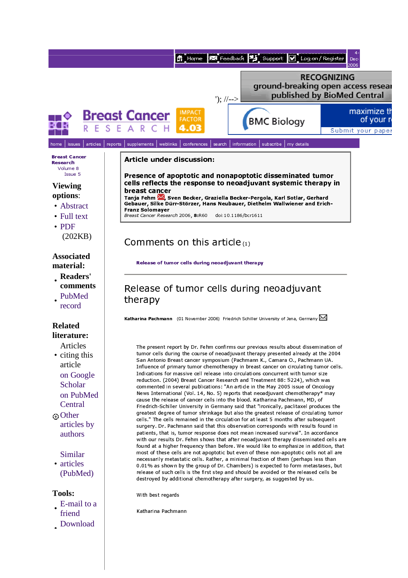